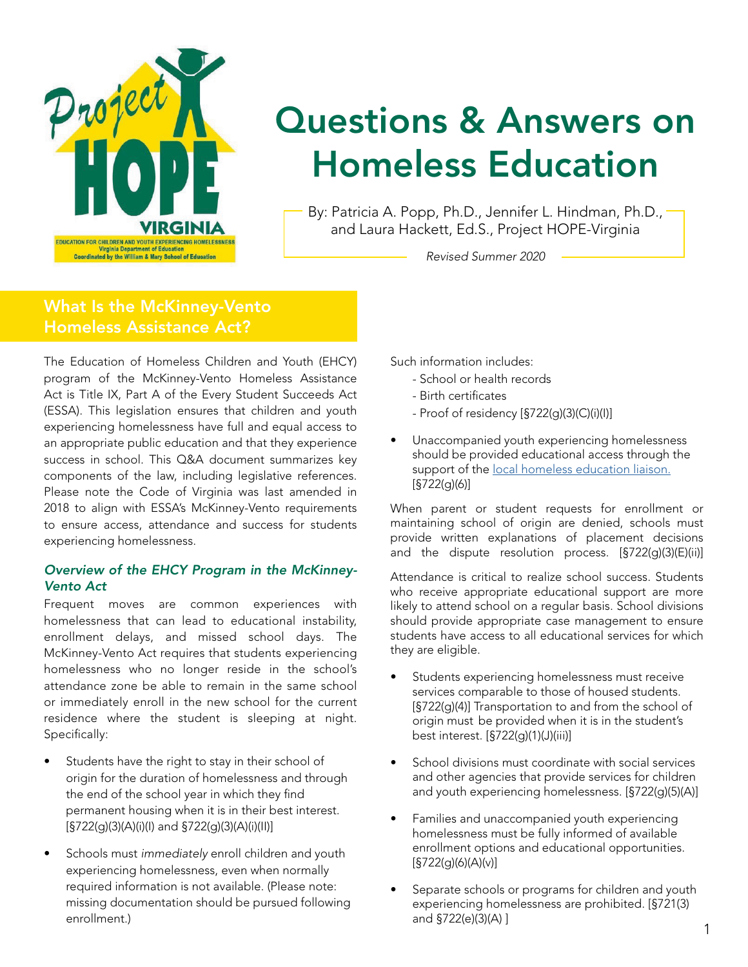

# Questions & Answers on Homeless Education

By: Patricia A. Popp, Ph.D., Jennifer L. Hindman, Ph.D., and Laura Hackett, Ed.S., Project HOPE-Virginia

*Revised Summer 2020*

# **What Is the McKinney-**What Is the McKinney-Vento **Homeless Assistance Act?** Homeless Assistance Act?

The Education of Homeless Children and Youth (EHCY) program of the McKinney-Vento Homeless Assistance Act is Title IX, Part A of the Every Student Succeeds Act (ESSA). This legislation ensures that children and youth experiencing homelessness have full and equal access to an appropriate public education and that they experience success in school. This Q&A document summarizes key components of the law, including legislative references. Please note the Code of Virginia was last amended in 2018 to align with ESSA's McKinney-Vento requirements to ensure access, attendance and success for students experiencing homelessness.

### *Overview of the EHCY Program in the McKinney-Vento Act*

Frequent moves are common experiences with homelessness that can lead to educational instability, enrollment delays, and missed school days. The McKinney-Vento Act requires that students experiencing homelessness who no longer reside in the school's attendance zone be able to remain in the same school or immediately enroll in the new school for the current residence where the student is sleeping at night. Specifically:

- Students have the right to stay in their school of origin for the duration of homelessness and through the end of the school year in which they find permanent housing when it is in their best interest. [§722(g)(3)(A)(i)(I) and §722(g)(3)(A)(i)(II)]
- Schools must *immediately* enroll children and youth experiencing homelessness, even when normally required information is not available. (Please note: missing documentation should be pursued following enrollment.)

Such information includes:

- School or health records
- Birth certificates
- Proof of residency [§722(g)(3)(C)(i)(I)]
- Unaccompanied youth experiencing homelessness should be provided educational access through the support of the [local homeless education liaison.](https://education.wm.edu/centers/hope/liaison-listing/a-b/index.php) [§722(g)(6)]

When parent or student requests for enrollment or maintaining school of origin are denied, schools must provide written explanations of placement decisions and the dispute resolution process. [§722(g)(3)(E)(ii)]

Attendance is critical to realize school success. Students who receive appropriate educational support are more likely to attend school on a regular basis. School divisions should provide appropriate case management to ensure students have access to all educational services for which they are eligible.

- Students experiencing homelessness must receive services comparable to those of housed students. [§722(g)(4)] Transportation to and from the school of origin must be provided when it is in the student's best interest. [§722(g)(1)(J)(iii)]
- School divisions must coordinate with social services and other agencies that provide services for children and youth experiencing homelessness. [§722(g)(5)(A)]
- Families and unaccompanied youth experiencing homelessness must be fully informed of available enrollment options and educational opportunities.  $[§722(q)(6)(A)(v)]$
- Separate schools or programs for children and youth experiencing homelessness are prohibited. [§721(3) and  $\S722(e)(3)(A)$  ]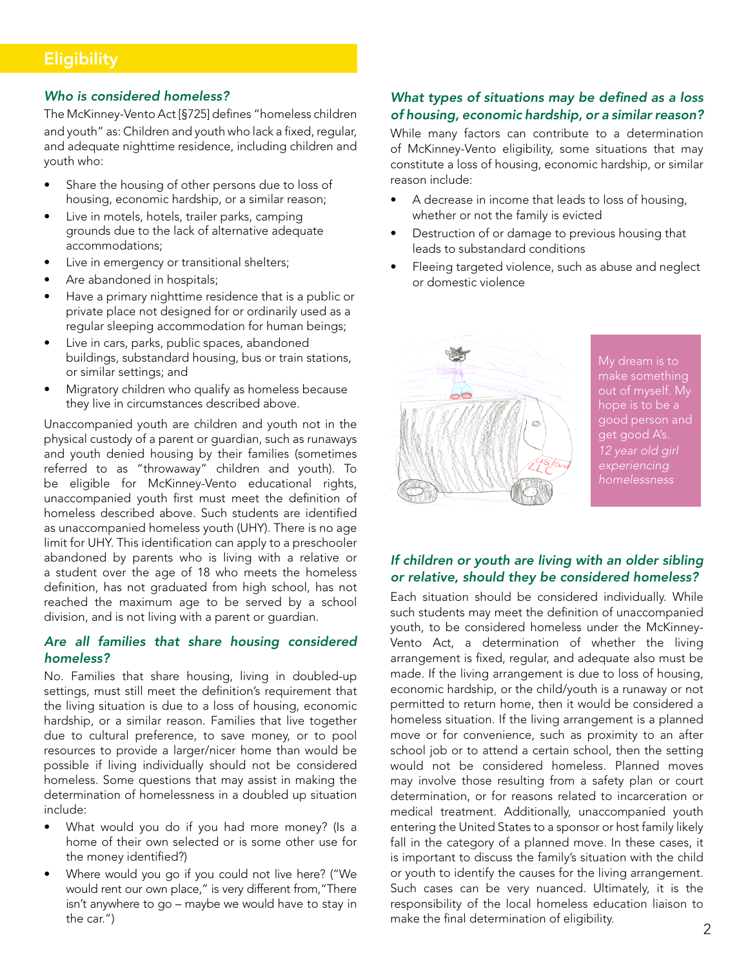### Who is considered homeless?

The McKinney-Vento Act [§725] defines "homeless children and youth" as: Children and youth who lack a fixed, regular, and youth as. Children and youth who lack a lixed, regular,<br>and adequate nighttime residence, including children and youth who: dequate hightume residence, including children and<br>|- $\blacksquare$  which they are which they are which they are which they are  $\blacksquare$ 

- Share the housing of other persons due to loss of housing, economic hardship, or a similar reason;
- Live in motels, hotels, trailer parks, camping **When is transportation required?** accommodations; grounds due to the lack of alternative adequate
- Live in emergency or transitional shelters;
- $\bullet$  Are abandoned in hospitals;
- $\bullet$  Have a primary nighttime residence that is a public or private place not designed for or ordinarily used as a regular sleeping accommodation for human beings;
- Live in cars, parks, public spaces, abandoned buildings, substandard housing, bus or train stations, or similar settings; and al-
- Migratory children who qualify as homeless because Inspectory chines in this equality de nonneless be<br>they live in circumstances described above.

Unaccompanied youth are children and youth not in the **Can students experiencing homelessness access**  physical custody of a parent or guardian, such as runaways **school nutrition programs?** and youth denied housing by their families (sometimes referred to as "throwaway" children and youth). To be eligible for McKinney-Vento educational rights, unaccompanied youth first must meet the definition of homeless described above. Such students are identified as unaccompanied homeless youth (UHY). There is no age limit for UHY. This identification can apply to a preschooler abandoned by parents who is living with a relative or a student over the age of 18 who meets the homeless definition, has not graduated from high school, has not reached the maximum age to be served by a school division, and is not living with a parent or guardian. ed to as "throwaway" children and youth). To eligible for McKinney-Vento educational rights,

#### *Are all families that share housing considered*   $h$ omeless? is determined eligible for free meals, the student remains all families that share housing considered

No. Families that share housing, living in doubled-up settings, must still meet the definition's requirement that the living situation is due to a loss of housing, economic hardship, or a similar reason. Families that live together due to cultural preference, to save money, or to pool resources to provide a larger/nicer home than would be possible if living individually should not be considered homeless. Some questions that may assist in making the determination of homelessness in a doubled up situation include:

- What would you do if you had more money? (Is a home of their own selected or is some other use for the money identified?)
- Where would you go if you could not live here? ("We would rent our own place," is very different from,"There isn't anywhere to go – maybe we would have to stay in the car.")

# What types of situations may be defined as a loss *of housing, economic hardship, or a similar reason?* **Are children experiencing homelessness eligible to**

While many factors can contribute to a determination of McKinney-Vento eligibility, some situations that may constitute a loss of housing, economic hardship, or similar reason include: who are students who are students who are students who are students who are students who are s

- A decrease in income that leads to loss of housing, whether or not the family is evicted
- mist of not the tarm, is streted<br>• Destruction of or damage to previous housing that leads to substandard conditions  $\bullet$  Destruction of or damage to previous nousing that
- Fleeing targeted violence, such as abuse and neglect or domestic violence



My dream is to out of myself. My good person and good person and get good A's. get good A's. 12 year old girl *12 year old girl*  experiencing *experiencing*  hope is to be a

#### *If children or youth are living with an older sibling*  or relative, should they be considered homeless? **Can Title I, Part A, funds be used to address the education** or youth are living with an older sible

Each situation should be considered individually. While such students may meet the definition of unaccompanied youth, to be considered homeless under the McKinney-Vento Act, a determination of whether the living arrangement is fixed, regular, and adequate also must be and ingenieur to middle, regalian, and deequate disc mass so made. If the living analigement is due to loss or hodsing, economic hardship, or the child/youth is a runaway or not economic nardship, or the child, youth is a furtaway of not permitted to return home, then it would be considered a permitted to return home, then it would be considered a<br>homeless situation. If the living arrangement is a planned move or for convenience, such as proximity to an after school job or to attend a certain school, then the setting would not be considered homeless. Planned moves may involve those resulting from a safety plan or court determination, or for reasons related to incarceration or medical treatment. Additionally, unaccompanied youth entering the United States to a sponsor or host family likely fall in the category of a planned move. In these cases, it is important to discuss the family's situation with the child or youth to identify the causes for the living arrangement. Such cases can be very nuanced. Ultimately, it is the responsibility of the local homeless education liaison to make the final determination of eligibility. momeless situation. If the living arrangement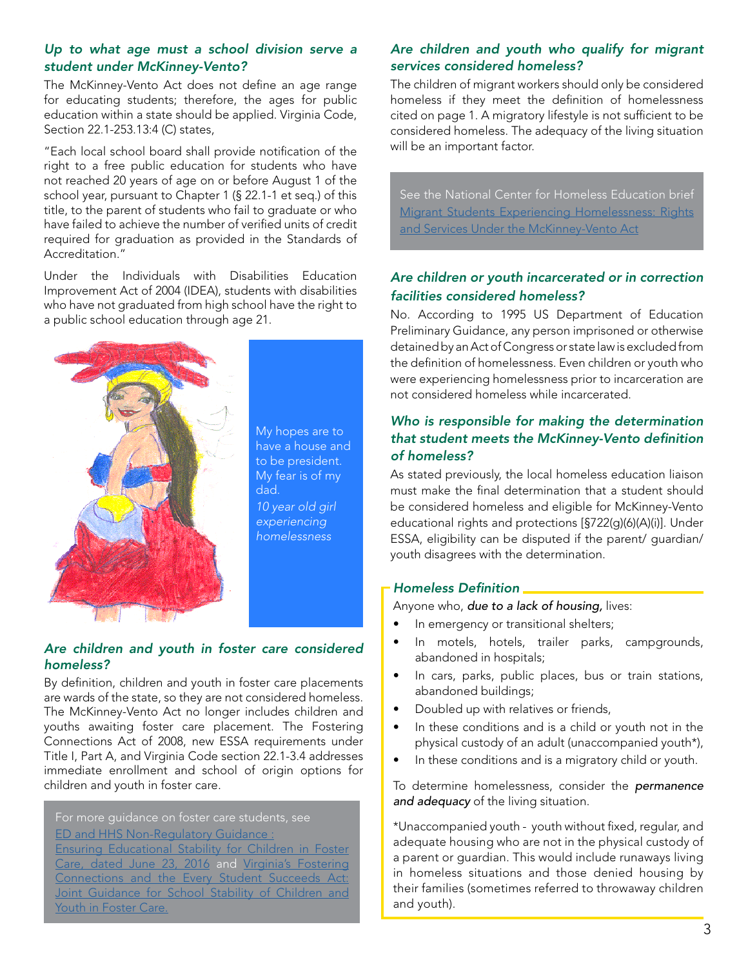### Up to what age must a school division serve a student under McKinney-Vento? pp to what age must a school division serve a

The McKinney-Vento Act does not define an age range for educating students; therefore, the ages for public education within a state should be applied. Virginia Code, Section 22.1-253.13:4 (C) states,

"Each local school board shall provide notification of the Eddit focal sensor board shall provide notified for the<br>right to a free public education for students who have right to a not pashe cases for the classific the nate<br>not reached 20 years of age on or before August 1 of the new statistic and years of age on the worder inagers is the seq.<br>school year, pursuant to Chapter 1 (§ 22.1-1 et seq.) of this title, to the parent of students who fail to graduate or who fitle, to the parent of students who fail to graduate or who have failed to achieve the number of verified units of credit required for graduation as provided in the Standards of Accreditation." Accreditation."

Under the Individuals with Disabilities Education Improvement Act of 2004 (IDEA), students with disabilities who have not graduated from high school have the right to a public school education through age 21. know about community programs, such as a Boys or Girls Jnder



My hopes are to  $\begin{bmatrix} 1 & 1 \\ 1 & 1 \end{bmatrix}$ nave a nouse and<br>to be president. 10 year old girl **10** experiencing **homeless** have a house and My fear is of my dad. *homelessness*

My hopes are to have

### *Are children and youth in foster care considered homeless?*

By definition, children and youth in foster care placements are wards of the state, so they are not considered homeless. The McKinney-Vento Act no longer includes children and youths awaiting foster care placement. The Fostering Connections Act of 2008, new ESSA requirements under Title I, Part A, and Virginia Code section 22.1-3.4 addresses immediate enrollment and school of origin options for children and youth in foster care.

For more guidance on foster care students, see [ED and HHS Non-Regulatory Guidance :](https://www2.ed.gov/policy/elsec/leg/essa/edhhsfostercarenonregulatorguide.pdf) [Ensuring Educational Stability for Children in Foster](https://www2.ed.gov/policy/elsec/leg/essa/edhhsfostercarenonregulatorguide.pdf)  [Care, dated June 23, 2016](https://www2.ed.gov/policy/elsec/leg/essa/edhhsfostercarenonregulatorguide.pdf) and Virginia's Fostering [Connections and the Every Student Succeeds Act:](https://www2.ed.gov/policy/elsec/leg/essa/edhhsfostercarenonregulatorguide.pdf)  Joint Guidance for School Stability of Children and [Youth in Foster Care.](https://www2.ed.gov/policy/elsec/leg/essa/edhhsfostercarenonregulatorguide.pdf)

# Are children and youth who qualify for migrant services considered homeless?

The children of migrant workers should only be considered homeless if they meet the definition of homelessness nomeless in they meet the delimition of nomelessitess<br>cited on page 1. A migratory lifestyle is not sufficient to be ence on page 1.7 mingratory incluyed binot sameterities be<br>considered homeless. The adequacy of the living situation will be an important factor.  $\frac{1}{2}$ 

See the National Center for Homeless Education brief [Migrant Students Experiencing Homelessness: Rights](https://nche.ed.gov/wp-content/uploads/2018/10/migrant.pdf) <u>[and Services Under the McKinney-Vento Act](https://nche.ed.gov/wp-content/uploads/2018/10/migrant.pdf)</u>

# *Are children or youth incarcerated or in correction*  tion's technical assistance and information cen-*Fire cimaren or youth mearcerated or mearching*

NCHE operates the U.S. Department of Educa-

racinties considered nomeress:<br>No. According to 1995 US Department of Education NO. According to 1995 03 Department or Education<br>Preliminary Guidance, any person imprisoned or otherwise rommany Salaanse, any person imprisonce or strict missi the definition of homelessness. Even children or youth who *Homeless Education Issue Briefs*, *Best Practic*were experiencing homelessness prior to incarceration are not considered homeless while incarcerated. *Vento Law Into Practice* series*.*

# *Who is responsible for making the determination that student meets the McKinney-Vento definition of homeless?*

or nomeross:<br>As stated previously, the local homeless education liaison As stated previously, the local homeless education hason must make the final determination that a student should be considered homeless and eligible for McKinney-Vento educational rights and protections [§722(g)(6)(A)(i)]. Under ESSA, eligibility can be disputed if the parent/ guardian/ youth disagrees with the determination.

# www.nn4youth.org *Homeless Definition*

Anyone who, **due to a lack of housing,** lives:

- $\bullet$  In emergency or transitional shelters;
- · In motels, hotels, trailer parks, campgrounds, abandoned in hospitals;
- In cars, parks, public places, bus or train stations, abandoned buildings;
- Doubled up with relatives or friends,
- In these conditions and is a child or youth not in the physical custody of an adult (unaccompanied youth\*),
- In these conditions and is a migratory child or youth.

To determine homelessness, consider the *permanence and adequacy* of the living situation.

\*Unaccompanied youth - youth without fixed, regular, and adequate housing who are not in the physical custody of a parent or guardian. This would include runaways living in homeless situations and those denied housing by their families (sometimes referred to throwaway children and youth).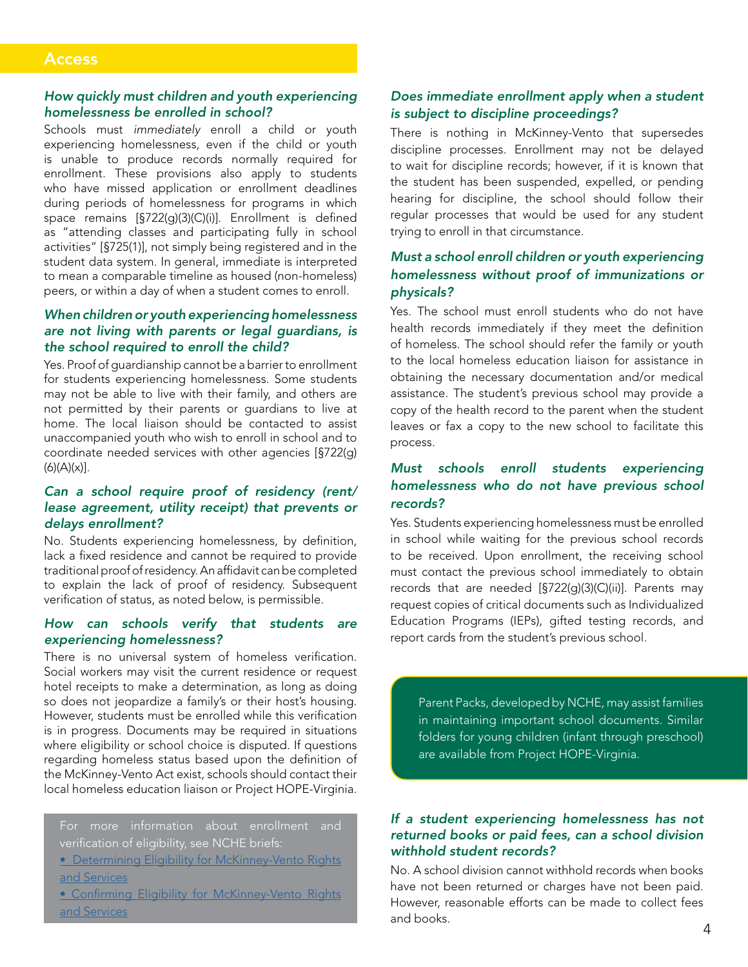### **Access**

### *How quickly must children and youth experiencing homelessness be enrolled in school?*

Schools must *immediately* enroll a child or youth experiencing homelessness, even if the child or youth is unable to produce records normally required for enrollment. These provisions also apply to students who have missed application or enrollment deadlines during periods of homelessness for programs in which space remains [§722(g)(3)(C)(i)]. Enrollment is defined as "attending classes and participating fully in school activities" [§725(1)], not simply being registered and in the student data system. In general, immediate is interpreted to mean a comparable timeline as housed (non-homeless) peers, or within a day of when a student comes to enroll.

### *When children or youth experiencing homelessness are not living with parents or legal guardians, is the school required to enroll the child?*

Yes. Proof of guardianship cannot be a barrier to enrollment for students experiencing homelessness. Some students may not be able to live with their family, and others are not permitted by their parents or guardians to live at home. The local liaison should be contacted to assist unaccompanied youth who wish to enroll in school and to coordinate needed services with other agencies [§722(g)  $(6)(A)(x)$ ].

### *Can a school require proof of residency (rent/ lease agreement, utility receipt) that prevents or delays enrollment?*

No. Students experiencing homelessness, by definition, lack a fixed residence and cannot be required to provide traditional proof of residency. An affidavit can be completed to explain the lack of proof of residency. Subsequent verification of status, as noted below, is permissible.

### *How can schools verify that students are experiencing homelessness?*

There is no universal system of homeless verification. Social workers may visit the current residence or request hotel receipts to make a determination, as long as doing so does not jeopardize a family's or their host's housing. However, students must be enrolled while this verification is in progress. Documents may be required in situations where eligibility or school choice is disputed. If questions regarding homeless status based upon the definition of the McKinney-Vento Act exist, schools should contact their local homeless education liaison or Project HOPE-Virginia.

For more information about enrollment and verification of eligibility, see NCHE briefs: **[• Determining Eligibility for McKinney-Vento Rights](https://nche.ed.gov/wp-content/uploads/2018/10/det_elig.pdf)** [and Services](https://nche.ed.gov/wp-content/uploads/2018/10/det_elig.pdf)

[• Confirming Eligibility for McKinney-Vento Rights](https://nche.ed.gov/wp-content/uploads/2018/10/conf-elig.pdf) [and Services](https://nche.ed.gov/wp-content/uploads/2018/10/conf-elig.pdf)

### *Does immediate enrollment apply when a student is subject to discipline proceedings?*

There is nothing in McKinney-Vento that supersedes discipline processes. Enrollment may not be delayed to wait for discipline records; however, if it is known that the student has been suspended, expelled, or pending hearing for discipline, the school should follow their regular processes that would be used for any student trying to enroll in that circumstance.

### *Must a school enroll children or youth experiencing homelessness without proof of immunizations or physicals?*

Yes. The school must enroll students who do not have health records immediately if they meet the definition of homeless. The school should refer the family or youth to the local homeless education liaison for assistance in obtaining the necessary documentation and/or medical assistance. The student's previous school may provide a copy of the health record to the parent when the student leaves or fax a copy to the new school to facilitate this process.

### *Must schools enroll students experiencing homelessness who do not have previous school records?*

Yes. Students experiencing homelessness must be enrolled in school while waiting for the previous school records to be received. Upon enrollment, the receiving school must contact the previous school immediately to obtain records that are needed [§722(g)(3)(C)(ii)]. Parents may request copies of critical documents such as Individualized Education Programs (IEPs), gifted testing records, and report cards from the student's previous school.

Parent Packs, developed by NCHE, may assist families in maintaining important school documents. Similar folders for young children (infant through preschool) are available from Project HOPE-Virginia.

### *If a student experiencing homelessness has not returned books or paid fees, can a school division withhold student records?*

No. A school division cannot withhold records when books have not been returned or charges have not been paid. However, reasonable efforts can be made to collect fees and books.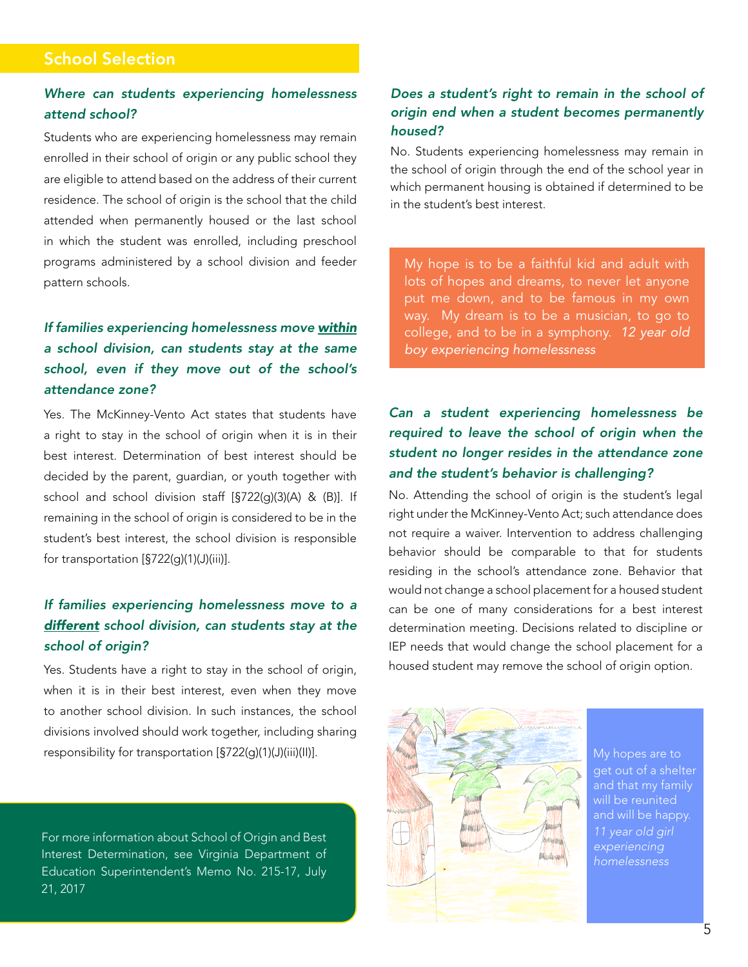# School Selection

# *Where can students experiencing homelessness attend school?*

Students who are experiencing homelessness may remain enrolled in their school of origin or any public school they are eligible to attend based on the address of their current residence. The school of origin is the school that the child attended when permanently housed or the last school in which the student was enrolled, including preschool programs administered by a school division and feeder pattern schools.

# *If families experiencing homelessness move within a school division, can students stay at the same school, even if they move out of the school's attendance zone?*

Yes. The McKinney-Vento Act states that students have a right to stay in the school of origin when it is in their best interest. Determination of best interest should be decided by the parent, guardian, or youth together with school and school division staff [§722(g)(3)(A) & (B)]. If remaining in the school of origin is considered to be in the student's best interest, the school division is responsible for transportation [§722(g)(1)(J)(iii)].

# *If families experiencing homelessness move to a different school division, can students stay at the school of origin?*

Yes. Students have a right to stay in the school of origin, when it is in their best interest, even when they move to another school division. In such instances, the school divisions involved should work together, including sharing responsibility for transportation [§722(g)(1)(J)(iii)(II)].

For more information about School of Origin and Best Interest Determination, see Virginia Department of Education Superintendent's Memo No. 215-17, July 21, 2017

# *Does a student's right to remain in the school of*  **Access**  *origin end when a student becomes permanently housed?* **How guide and youth children and youth experiencing**  $\mathbf{r}$

No. Students experiencing homelessness may remain in the school of origin through the end of the school year in which permanent housing is obtained if determined to be in the student's best interest.

My hope is to be a faithful kid and adult with lots of hopes and dreams, to never let anyone put me down, and to be famous in my own parting down, and to be ramous in my own way. My dream is to be a musician, to go to  $\frac{1}{2}$ college, and to be in a symphony. *12 year old* **boy experiencing homelessness** 

tion or enrollment deadlines during periods of homeless-

#### *Can a student experiencing homelessness be required to leave the school of origin when the*  student no longer resides in the attendance zone *and the student's behavior is challenging?* **are not living with parents or legal guardians, is Can a student experiencing home** ment for students experience in the determinance and and the student's behavior is challenging?

No. Attending the school of origin is the student's legal right under the McKinney-Vento Act; such attendance does manied and momentum promotion to address challenging not require a waiver. Intervention to address challenging behavior should be comparable to that for students residing in the school's attendance zone. Behavior that would not change a school placement for a housed student can be one of many considerations for a best interest determination meeting. Decisions related to discipline or IEP needs that would change the school placement for a housed student may remove the school of origin option. not require a waiver, intervention to address challenging



My hopes are to My hopes are to get out of a shelter get out of a shelter will be reunited will be reunited and will be happy. and will be happy. experiencing *11 year old girl*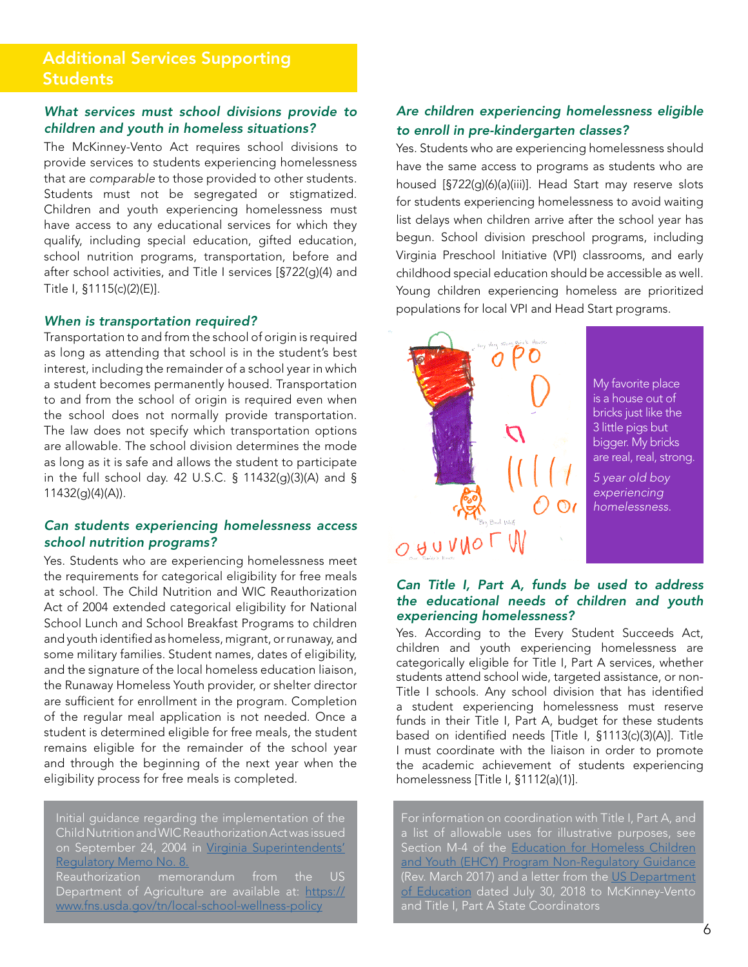# What services must school divisions provide to *children and youth in homeless situations?*

The McKinney-Vento Act requires school divisions to provide services to students experiencing homelessness that are *comparable* to those provided to other students. Students must not be segregated or stigmatized. Children and youth experiencing homelessness must emment and youth experienting nomelessness must<br>have access to any educational services for which they qualify, including special education, gifted education, *housing, economic hardship, or a similar rea*school nutrition programs, transportation, before and after school activities, and Title I services [§722(g)(4) and Title I, §1115(c)(2)(E)]. grounds *due to the lack of alternative adequate* 

# *When is transportation required? accommodations;*

**The interpretation is quite in the school** of origin is required Transportation to and from the school of origin is required as long as attending that school is in the student's best interest, including the remainder of a school year in which a student becomes permanently housed. Transportation a student becomes permanently noused. Transportation<br>to and from the school of origin is required even when the school does not normally provide transportation. The law does not specify which transportation options are allowable. The school division determines the mode as long as it is safe and allows the student to participate  $\frac{1}{2}$ in the full school day. 42 U.S.C. § 11432(g)(3)(A) and §<br>11432(a)(4)(A)) 11432(g)(4)(A)).  $M_{\rm H}$  , and  $M_{\rm H}$  as homeless beam  $\sim$ 

## Can students experiencing homelessness access *school nutrition programs?*

Yes. Students who are experiencing homelessness meet the requirements for categorical eligibility for free meals at school. The Child Nutrition and WIC Reauthorization at school. The Child Nuthtion and WC Readmonzation<br>Act of 2004 extended categorical eligibility for National School Lunch and School Breakfast Programs to children and youth identified as homeless, migrant, or runaway, and some military families. Student names, dates of eligibility, and the signature of the local homeless education liaison, and the signature of the local nomeless education ilalson,<br>the Runaway Homeless Youth provider, or shelter director are numaway connecess today provider, or shener director are sufficient for enrollment in the program. Completion of the regular meal application is not needed. Once a student is determined eligible for free meals, the student remains eligible for the remainder of the school year and through the beginning of the next year when the served the maximum age to be served by a school dividend the eligibility process for free meals is completed.

Initial guidance regarding the implementation of the Child Nutrition and WIC Reauthorization Act was issued on September 24, 2004 in [Virginia Superintendents'](http://www.doe.virginia.gov/administrators/superintendents_memos/2004/reg008.html)  [Regulatory Memo No. 8.](http://www.doe.virginia.gov/administrators/superintendents_memos/2004/reg008.html) Reauthorization memorandum from the US Department of Agriculture are available at: [https://](https://www.fns.usda.gov/tn/local-school-wellness-policy) [www.fns.usda.gov/tn/local-school-wellness-policy](https://www.fns.usda.gov/tn/local-school-wellness-policy)

### Are children experiencing homelessness eligible to enroll in pre-kindergarten classes?

Yes. Students who are experiencing homelessness should have the same access to programs as students who are housed [§722(g)(6)(a)(iii)]. Head Start may reserve slots for students experiencing homelessness to avoid waiting list delays when children arrive after the school year has begun. School division preschool programs, including Virginia Preschool Initiative (VPI) classrooms, and early childhood special education should be accessible as well.<br>... Young children experiencing homeless are prioritized populations for local VPI and Head Start programs.



My favorite place<br>. **pigs but bigger.** Which is a string to be the string of the string of the string of the string of the string of the string of the string of the string of the string of the string of the string of the string of the string **bricks are real, real**  3 little pigs but **strong.**  are real, real, strong. is a house out of bigger. My bricks

**My Favorite Place is a house out of bricks** 

*5 year old boy expe-5 year old boy riencing homeless-homelessness. experiencing* 

### *Can Title I, Part A, funds be used to address the educational needs of children and youth experiencing homelessness?*

Yes. According to the Every Student Succeeds Act, *housing, economic hardship, or a similar reason***?** children and youth experiencing homelessness are categorically eligible for Title I, Part A services, whether students attend school wide, targeted assistance, or non-<br>Title I schools. Any school division that has identified a student experiencing homelessness must reserve funds in their Title I, Part A, budget for these students based on identified needs [Title I, §1113(c)(3)(A)]. Title<br>I must eaerdinate with the lisiean in erder to promote the academic achievement of students experiencing homelessness [Title I, §1112(a)(1)]. students attend school wide, targeted assistance, or non-I must coordinate with the liaison in order to promote

For information on coordination with Title I, Part A, and  $\parallel$ a list of allowable uses for illustrative purposes, see<br>Section M4 of the Fd Section M-4 of the Education for Homeless Children [and Youth \(EHCY\) Program Non-Regulatory Guidance](https://www2.ed.gov/policy/elsec/leg/essa/160240ehcyguidance072716.pdf) (Rev. March 2017) and a letter from the US Department [of Education](https://www2.ed.gov/policy/elsec/leg/essa/letterforessatitleialeahomelesssetaside.pdf) dated July 30, 2018 to McKinney-Vento and Title I, Part A State Coordinators

leads to substandard conditions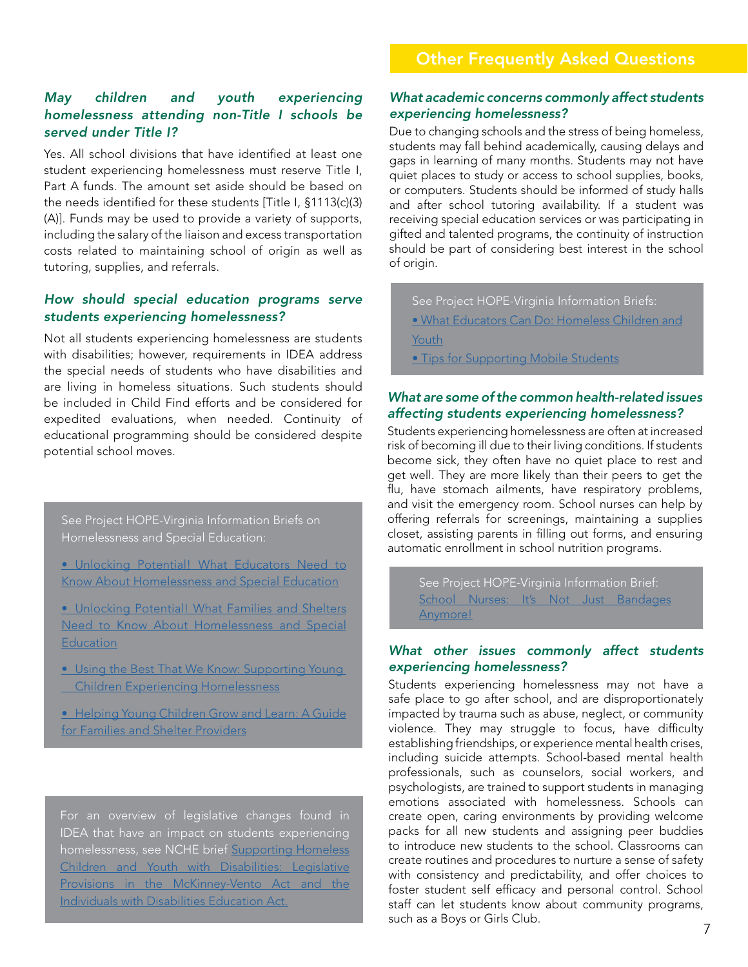# *May children and youth experiencing homelessness attending non-Title I schools be served under Title I?*

Yes. All school divisions that have identified at least one student experiencing homelessness must reserve Title I, Part A funds. The amount set aside should be based on the needs identified for these students [Title I, §1113(c)(3) (A)]. Funds may be used to provide a variety of supports, including the salary of the liaison and excess transportation costs related to maintaining school of origin as well as tutoring, supplies, and referrals.

### *How should special education programs serve students experiencing homelessness?*

Not all students experiencing homelessness are students with disabilities; however, requirements in IDEA address the special needs of students who have disabilities and are living in homeless situations. Such students should be included in Child Find efforts and be considered for expedited evaluations, when needed. Continuity of educational programming should be considered despite potential school moves.

See Project HOPE-Virginia Information Briefs on Homelessness and Special Education:

- [Unlocking Potential! What Educators Need to](https://education.wm.edu/centers/hope/publications/infobriefs/documents/unlockingeducators2014.pdf)  [Know About Homelessness and Special Education](https://education.wm.edu/centers/hope/publications/infobriefs/documents/unlockingeducators2014.pdf)
- [Unlocking Potential! What Families and Shelters](https://education.wm.edu/centers/hope/publications/infobriefs/documents/unlockingfamilies2014.pdf)  [Need to Know About Homelessness and Special](https://education.wm.edu/centers/hope/publications/infobriefs/documents/unlockingfamilies2014.pdf)  [Education](https://education.wm.edu/centers/hope/publications/infobriefs/documents/unlockingfamilies2014.pdf)
- [Using the Best That We Know: Supporting Young](https://education.wm.edu/centers/hope/publications/infobriefs/documents/usingthebest2013.pdf)  [Children Experiencing Homelessness](https://education.wm.edu/centers/hope/publications/infobriefs/documents/usingthebest2013.pdf)
- [Helping Young Children Grow and Learn: A Guide](https://education.wm.edu/centers/hope/publications/infobriefs/documents/helpingyoungchildren2014.pdf)  [for Families and Shelter Providers](https://education.wm.edu/centers/hope/publications/infobriefs/documents/helpingyoungchildren2014.pdf)

For an overview of legislative changes found in IDEA that have an impact on students experiencing homelessness, see NCHE brief [Supporting Homeless](https://nche.ed.gov/wp-content/uploads/2018/10/idea.pdf) [Children and Youth with Disabilities: Legislative](https://nche.ed.gov/wp-content/uploads/2018/10/idea.pdf) [Provisions in the McKinney-Vento Act and the](https://nche.ed.gov/wp-content/uploads/2018/10/idea.pdf) [Individuals with Disabilities Education Act.](https://nche.ed.gov/wp-content/uploads/2018/10/idea.pdf)

### *What academic concerns commonly affect students experiencing homelessness?*

Due to changing schools and the stress of being homeless, students may fall behind academically, causing delays and gaps in learning of many months. Students may not have quiet places to study or access to school supplies, books, or computers. Students should be informed of study halls and after school tutoring availability. If a student was receiving special education services or was participating in gifted and talented programs, the continuity of instruction should be part of considering best interest in the school of origin.

See Project HOPE-Virginia Information Briefs: [• What Educators Can Do: Homeless Children and](https://education.wm.edu/centers/hope/publications/infobriefs/documents/whateducatorscando2013.pdf)  [Youth](https://education.wm.edu/centers/hope/publications/infobriefs/documents/whateducatorscando2013.pdf) **[• Tips for Supporting Mobile Students](https://education.wm.edu/centers/hope/publications/infobriefs/documents/mobility2014.pdf)** 

### *What are some of the common health-related issues affecting students experiencing homelessness?*

Students experiencing homelessness are often at increased risk of becoming ill due to their living conditions. If students become sick, they often have no quiet place to rest and get well. They are more likely than their peers to get the flu, have stomach ailments, have respiratory problems, and visit the emergency room. School nurses can help by offering referrals for screenings, maintaining a supplies closet, assisting parents in filling out forms, and ensuring automatic enrollment in school nutrition programs.

See Project HOPE-Virginia Information Brief: School Nurses: It's Not Just Bandages [Anymore!](https://education.wm.edu/centers/hope/publications/infobriefs/documents/SchoolNurse2014.pdf)

### *What other issues commonly affect students experiencing homelessness?*

Students experiencing homelessness may not have a safe place to go after school, and are disproportionately impacted by trauma such as abuse, neglect, or community violence. They may struggle to focus, have difficulty establishing friendships, or experience mental health crises, including suicide attempts. School-based mental health professionals, such as counselors, social workers, and psychologists, are trained to support students in managing emotions associated with homelessness. Schools can create open, caring environments by providing welcome packs for all new students and assigning peer buddies to introduce new students to the school. Classrooms can create routines and procedures to nurture a sense of safety with consistency and predictability, and offer choices to foster student self efficacy and personal control. School staff can let students know about community programs, such as a Boys or Girls Club.